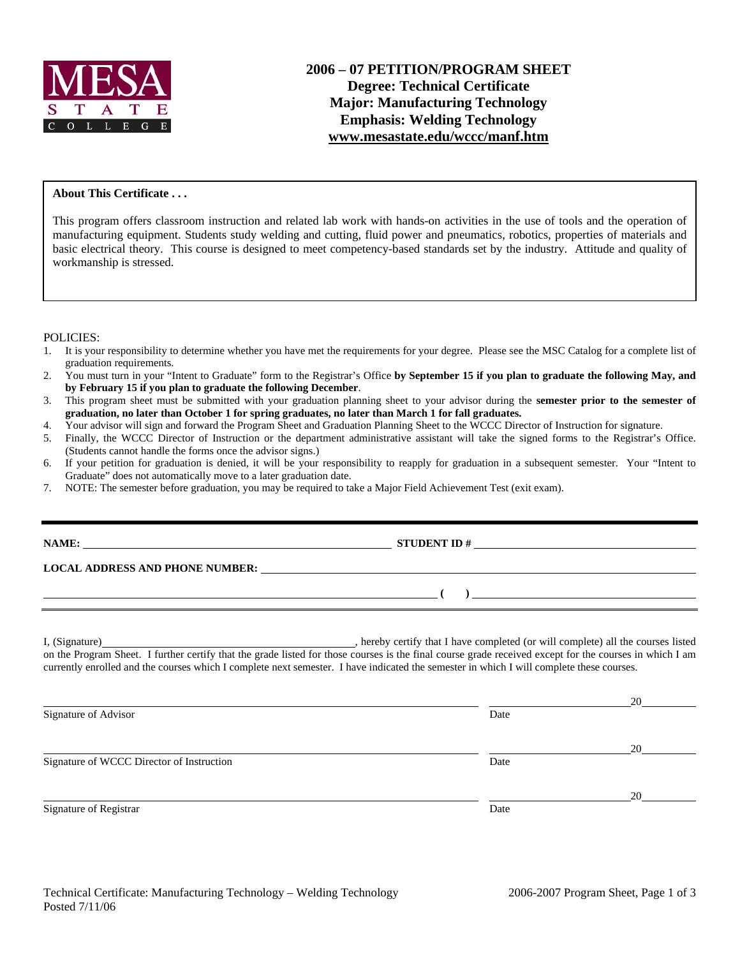

## **About This Certificate . . .**

This program offers classroom instruction and related lab work with hands-on activities in the use of tools and the operation of manufacturing equipment. Students study welding and cutting, fluid power and pneumatics, robotics, properties of materials and basic electrical theory. This course is designed to meet competency-based standards set by the industry. Attitude and quality of workmanship is stressed.

## POLICIES:

- 1. It is your responsibility to determine whether you have met the requirements for your degree. Please see the MSC Catalog for a complete list of graduation requirements.
- 2. You must turn in your "Intent to Graduate" form to the Registrar's Office **by September 15 if you plan to graduate the following May, and by February 15 if you plan to graduate the following December**.
- 3. This program sheet must be submitted with your graduation planning sheet to your advisor during the **semester prior to the semester of graduation, no later than October 1 for spring graduates, no later than March 1 for fall graduates.**
- 4. Your advisor will sign and forward the Program Sheet and Graduation Planning Sheet to the WCCC Director of Instruction for signature.<br>5. Finally, the WCCC Director of Instruction or the department administrative assista
- 5. Finally, the WCCC Director of Instruction or the department administrative assistant will take the signed forms to the Registrar's Office. (Students cannot handle the forms once the advisor signs.)
- 6. If your petition for graduation is denied, it will be your responsibility to reapply for graduation in a subsequent semester. Your "Intent to Graduate" does not automatically move to a later graduation date.
- 7. NOTE: The semester before graduation, you may be required to take a Major Field Achievement Test (exit exam).

| <u> 1989 - Andrea San Andrea Andrea Andrea Andrea Andrea Andrea Andrea Andrea Andrea Andrea Andrea Andrea Andrea </u> | $\overline{a}$                                                                                                                                                                                                                                                                                      |  |
|-----------------------------------------------------------------------------------------------------------------------|-----------------------------------------------------------------------------------------------------------------------------------------------------------------------------------------------------------------------------------------------------------------------------------------------------|--|
|                                                                                                                       | on the Program Sheet. I further certify that the grade listed for those courses is the final course grade received except for the courses in which I am<br>currently enrolled and the courses which I complete next semester. I have indicated the semester in which I will complete these courses. |  |

| Signature of Advisor                      | Date | 20 |
|-------------------------------------------|------|----|
| Signature of WCCC Director of Instruction | Date | 20 |
| Signature of Registrar                    | Date | 20 |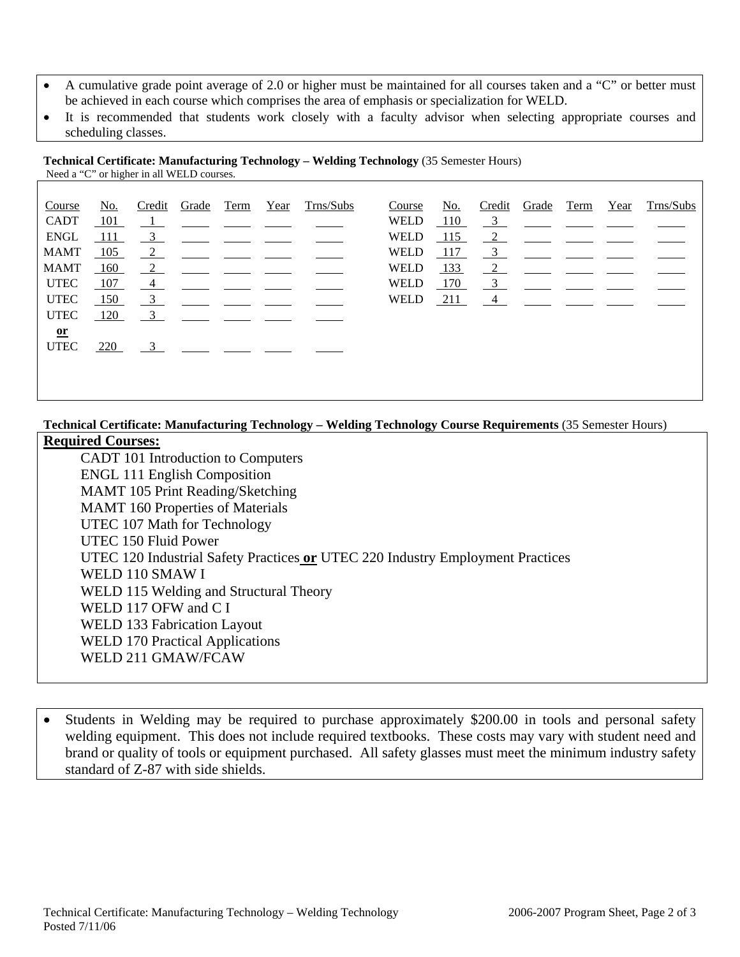- A cumulative grade point average of 2.0 or higher must be maintained for all courses taken and a "C" or better must be achieved in each course which comprises the area of emphasis or specialization for WELD.
- It is recommended that students work closely with a faculty advisor when selecting appropriate courses and scheduling classes.

**Technical Certificate: Manufacturing Technology – Welding Technology** (35 Semester Hours) Need a "C" or higher in all WELD courses.

| Course      | No. | Credit         | Grade | Term | Year | Trns/Subs | Course      | No. | Credit                    | Grade | Term | Year | Trns/Subs |
|-------------|-----|----------------|-------|------|------|-----------|-------------|-----|---------------------------|-------|------|------|-----------|
| <b>CADT</b> | 101 |                |       |      |      |           | WELD        | 110 | $\frac{3}{2}$             |       |      |      |           |
| <b>ENGL</b> | 111 | $\overline{3}$ |       |      |      |           | <b>WELD</b> | 115 | $\frac{2}{2}$             |       |      |      |           |
| <b>MAMT</b> | 105 | $\overline{2}$ |       |      |      |           | <b>WELD</b> | 117 | $\overline{\phantom{0}3}$ |       |      |      |           |
| <b>MAMT</b> | 160 | 2              |       |      |      |           | WELD        | 133 | 2                         |       |      |      |           |
| <b>UTEC</b> | 107 | $\frac{4}{1}$  |       |      |      |           | <b>WELD</b> | 170 | $\overline{\phantom{0}3}$ |       |      |      |           |
| <b>UTEC</b> | 150 | 3              |       |      |      |           | <b>WELD</b> | 211 | $\overline{4}$            |       |      |      |           |
| <b>UTEC</b> | 120 | 3              |       |      |      |           |             |     |                           |       |      |      |           |
| $or$        |     |                |       |      |      |           |             |     |                           |       |      |      |           |
| <b>UTEC</b> | 220 | 3              |       |      |      |           |             |     |                           |       |      |      |           |
|             |     |                |       |      |      |           |             |     |                           |       |      |      |           |
|             |     |                |       |      |      |           |             |     |                           |       |      |      |           |
|             |     |                |       |      |      |           |             |     |                           |       |      |      |           |

**Technical Certificate: Manufacturing Technology – Welding Technology Course Requirements** (35 Semester Hours)

## **Required Courses:**

 CADT 101 Introduction to Computers ENGL 111 English Composition MAMT 105 Print Reading/Sketching MAMT 160 Properties of Materials UTEC 107 Math for Technology UTEC 150 Fluid Power UTEC 120 Industrial Safety Practices **or** UTEC 220 Industry Employment Practices WELD 110 SMAW I WELD 115 Welding and Structural Theory WELD 117 OFW and C I WELD 133 Fabrication Layout WELD 170 Practical Applications WELD 211 GMAW/FCAW

• Students in Welding may be required to purchase approximately \$200.00 in tools and personal safety welding equipment. This does not include required textbooks. These costs may vary with student need and brand or quality of tools or equipment purchased. All safety glasses must meet the minimum industry safety standard of Z-87 with side shields.